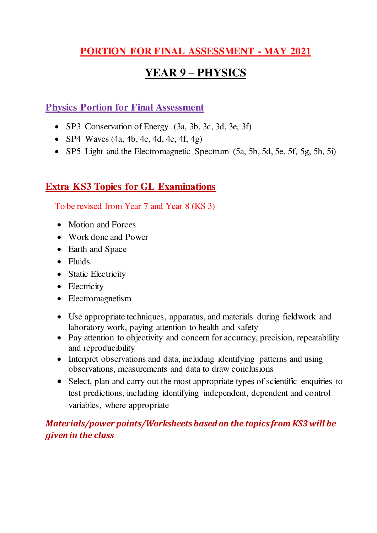## **PORTION FOR FINAL ASSESSMENT - MAY 2021**

## **YEAR 9 – PHYSICS**

### **Physics Portion for Final Assessment**

- SP3 Conservation of Energy (3a, 3b, 3c, 3d, 3e, 3f)
- SP4 Waves  $(4a, 4b, 4c, 4d, 4e, 4f, 4g)$
- SP5 Light and the Electromagnetic Spectrum (5a, 5b, 5d, 5e, 5f, 5g, 5h, 5i)

## **Extra KS3 Topics for GL Examinations**

To be revised from Year 7 and Year 8 (KS 3)

- Motion and Forces
- Work done and Power
- Earth and Space
- Fluids
- Static Electricity
- Electricity
- Electromagnetism
- Use appropriate techniques, apparatus, and materials during fieldwork and laboratory work, paying attention to health and safety
- Pay attention to objectivity and concern for accuracy, precision, repeatability and reproducibility
- Interpret observations and data, including identifying patterns and using observations, measurements and data to draw conclusions
- Select, plan and carry out the most appropriate types of scientific enquiries to test predictions, including identifying independent, dependent and control variables, where appropriate

## *Materials/power points/Worksheets based on the topics from KS3 will be given in the class*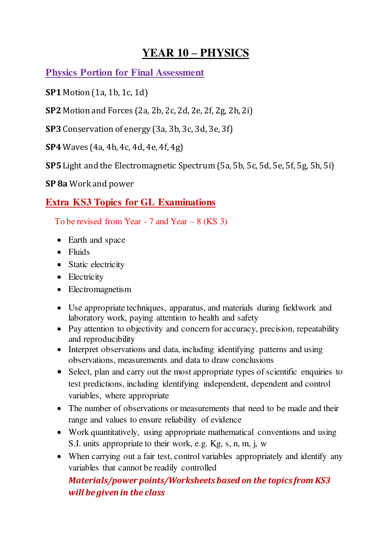# **YEAR 10 – PHYSICS**

**Physics Portion for Final Assessment** 

**SP1** Motion (1a, 1b, 1c, 1d)

**SP2** Motion and Forces (2a, 2b, 2c, 2d, 2e, 2f, 2g, 2h, 2i)

**SP3** Conservation of energy (3a, 3b, 3c, 3d, 3e, 3f)

**SP4** Waves (4a, 4b, 4c, 4d, 4e, 4f, 4g)

**SP5** Light and the Electromagnetic Spectrum (5a, 5b, 5c, 5d, 5e, 5f, 5g, 5h, 5i)

**SP 8a** Work and power

## **Extra KS3 Topics for GL Examinations**

To be revised from Year  $-7$  and Year  $-8$  (KS 3)

- Earth and space
- Fluids
- Static electricity
- Electricity
- Electromagnetism
- Use appropriate techniques, apparatus, and materials during fieldwork and laboratory work, paying attention to health and safety
- Pay attention to objectivity and concern for accuracy, precision, repeatability and reproducibility
- Interpret observations and data, including identifying patterns and using observations, measurements and data to draw conclusions
- Select, plan and carry out the most appropriate types of scientific enquiries to test predictions, including identifying independent, dependent and control variables, where appropriate
- The number of observations or measurements that need to be made and their range and values to ensure reliability of evidence
- Work quantitatively, using appropriate mathematical conventions and using S.I. units appropriate to their work, e.g. Kg, s, n, m, j, w
- When carrying out a fair test, control variables appropriately and identify any variables that cannot be readily controlled

## *Materials/power points/Worksheets based on the topics from KS3 will be given in the class*